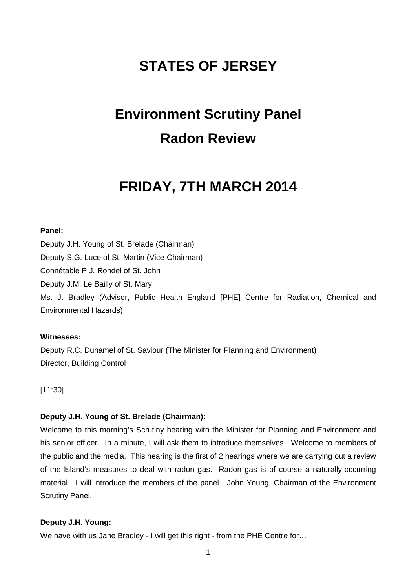# **STATES OF JERSEY**

# **Environment Scrutiny Panel Radon Review**

# **FRIDAY, 7TH MARCH 2014**

#### **Panel:**

Deputy J.H. Young of St. Brelade (Chairman) Deputy S.G. Luce of St. Martin (Vice-Chairman) Connétable P.J. Rondel of St. John Deputy J.M. Le Bailly of St. Mary Ms. J. Bradley (Adviser, Public Health England [PHE] Centre for Radiation, Chemical and Environmental Hazards)

#### **Witnesses:**

Deputy R.C. Duhamel of St. Saviour (The Minister for Planning and Environment) Director, Building Control

[11:30]

## **Deputy J.H. Young of St. Brelade (Chairman):**

Welcome to this morning's Scrutiny hearing with the Minister for Planning and Environment and his senior officer. In a minute, I will ask them to introduce themselves. Welcome to members of the public and the media. This hearing is the first of 2 hearings where we are carrying out a review of the Island's measures to deal with radon gas. Radon gas is of course a naturally-occurring material. I will introduce the members of the panel. John Young, Chairman of the Environment Scrutiny Panel.

#### **Deputy J.H. Young:**

We have with us Jane Bradley - I will get this right - from the PHE Centre for...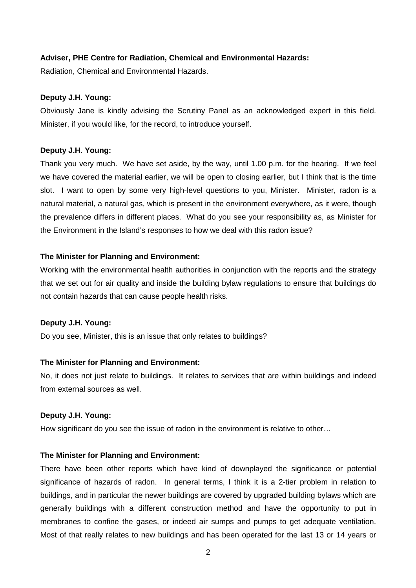#### **Adviser, PHE Centre for Radiation, Chemical and Environmental Hazards:**

Radiation, Chemical and Environmental Hazards.

#### **Deputy J.H. Young:**

Obviously Jane is kindly advising the Scrutiny Panel as an acknowledged expert in this field. Minister, if you would like, for the record, to introduce yourself.

#### **Deputy J.H. Young:**

Thank you very much. We have set aside, by the way, until 1.00 p.m. for the hearing. If we feel we have covered the material earlier, we will be open to closing earlier, but I think that is the time slot. I want to open by some very high-level questions to you, Minister. Minister, radon is a natural material, a natural gas, which is present in the environment everywhere, as it were, though the prevalence differs in different places. What do you see your responsibility as, as Minister for the Environment in the Island's responses to how we deal with this radon issue?

#### **The Minister for Planning and Environment:**

Working with the environmental health authorities in conjunction with the reports and the strategy that we set out for air quality and inside the building bylaw regulations to ensure that buildings do not contain hazards that can cause people health risks.

#### **Deputy J.H. Young:**

Do you see, Minister, this is an issue that only relates to buildings?

#### **The Minister for Planning and Environment:**

No, it does not just relate to buildings. It relates to services that are within buildings and indeed from external sources as well.

#### **Deputy J.H. Young:**

How significant do you see the issue of radon in the environment is relative to other…

#### **The Minister for Planning and Environment:**

There have been other reports which have kind of downplayed the significance or potential significance of hazards of radon. In general terms, I think it is a 2-tier problem in relation to buildings, and in particular the newer buildings are covered by upgraded building bylaws which are generally buildings with a different construction method and have the opportunity to put in membranes to confine the gases, or indeed air sumps and pumps to get adequate ventilation. Most of that really relates to new buildings and has been operated for the last 13 or 14 years or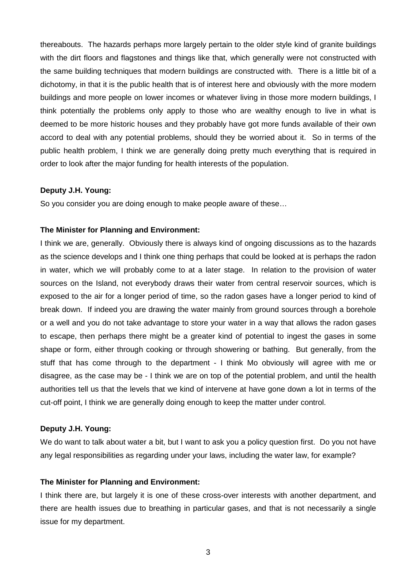thereabouts. The hazards perhaps more largely pertain to the older style kind of granite buildings with the dirt floors and flagstones and things like that, which generally were not constructed with the same building techniques that modern buildings are constructed with. There is a little bit of a dichotomy, in that it is the public health that is of interest here and obviously with the more modern buildings and more people on lower incomes or whatever living in those more modern buildings, I think potentially the problems only apply to those who are wealthy enough to live in what is deemed to be more historic houses and they probably have got more funds available of their own accord to deal with any potential problems, should they be worried about it. So in terms of the public health problem, I think we are generally doing pretty much everything that is required in order to look after the major funding for health interests of the population.

#### **Deputy J.H. Young:**

So you consider you are doing enough to make people aware of these…

#### **The Minister for Planning and Environment:**

I think we are, generally. Obviously there is always kind of ongoing discussions as to the hazards as the science develops and I think one thing perhaps that could be looked at is perhaps the radon in water, which we will probably come to at a later stage. In relation to the provision of water sources on the Island, not everybody draws their water from central reservoir sources, which is exposed to the air for a longer period of time, so the radon gases have a longer period to kind of break down. If indeed you are drawing the water mainly from ground sources through a borehole or a well and you do not take advantage to store your water in a way that allows the radon gases to escape, then perhaps there might be a greater kind of potential to ingest the gases in some shape or form, either through cooking or through showering or bathing. But generally, from the stuff that has come through to the department - I think Mo obviously will agree with me or disagree, as the case may be - I think we are on top of the potential problem, and until the health authorities tell us that the levels that we kind of intervene at have gone down a lot in terms of the cut-off point, I think we are generally doing enough to keep the matter under control.

#### **Deputy J.H. Young:**

We do want to talk about water a bit, but I want to ask you a policy question first. Do you not have any legal responsibilities as regarding under your laws, including the water law, for example?

#### **The Minister for Planning and Environment:**

I think there are, but largely it is one of these cross-over interests with another department, and there are health issues due to breathing in particular gases, and that is not necessarily a single issue for my department.

3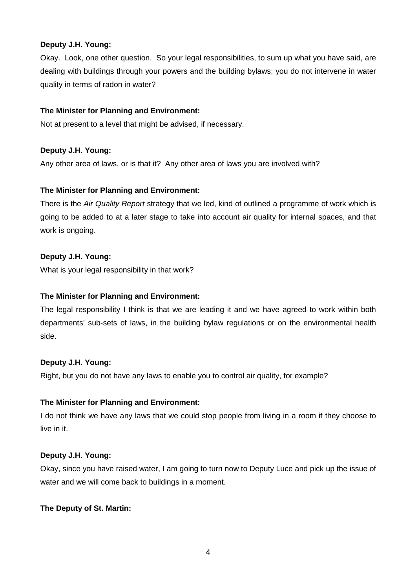## **Deputy J.H. Young:**

Okay. Look, one other question. So your legal responsibilities, to sum up what you have said, are dealing with buildings through your powers and the building bylaws; you do not intervene in water quality in terms of radon in water?

## **The Minister for Planning and Environment:**

Not at present to a level that might be advised, if necessary.

## **Deputy J.H. Young:**

Any other area of laws, or is that it? Any other area of laws you are involved with?

## **The Minister for Planning and Environment:**

There is the Air Quality Report strategy that we led, kind of outlined a programme of work which is going to be added to at a later stage to take into account air quality for internal spaces, and that work is ongoing.

## **Deputy J.H. Young:**

What is your legal responsibility in that work?

## **The Minister for Planning and Environment:**

The legal responsibility I think is that we are leading it and we have agreed to work within both departments' sub-sets of laws, in the building bylaw regulations or on the environmental health side.

## **Deputy J.H. Young:**

Right, but you do not have any laws to enable you to control air quality, for example?

# **The Minister for Planning and Environment:**

I do not think we have any laws that we could stop people from living in a room if they choose to live in it.

# **Deputy J.H. Young:**

Okay, since you have raised water, I am going to turn now to Deputy Luce and pick up the issue of water and we will come back to buildings in a moment.

## **The Deputy of St. Martin:**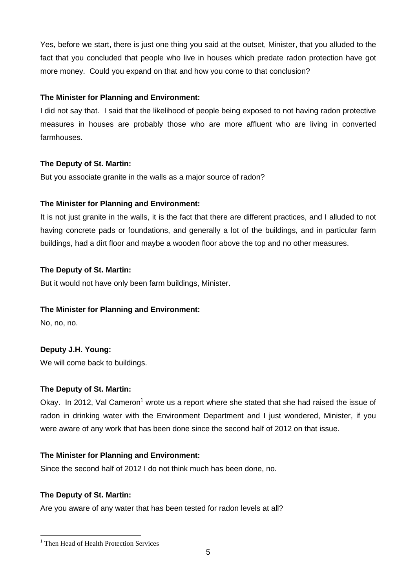Yes, before we start, there is just one thing you said at the outset, Minister, that you alluded to the fact that you concluded that people who live in houses which predate radon protection have got more money. Could you expand on that and how you come to that conclusion?

# **The Minister for Planning and Environment:**

I did not say that. I said that the likelihood of people being exposed to not having radon protective measures in houses are probably those who are more affluent who are living in converted farmhouses.

# **The Deputy of St. Martin:**

But you associate granite in the walls as a major source of radon?

# **The Minister for Planning and Environment:**

It is not just granite in the walls, it is the fact that there are different practices, and I alluded to not having concrete pads or foundations, and generally a lot of the buildings, and in particular farm buildings, had a dirt floor and maybe a wooden floor above the top and no other measures.

# **The Deputy of St. Martin:**

But it would not have only been farm buildings, Minister.

# **The Minister for Planning and Environment:**

No, no, no.

# **Deputy J.H. Young:**

We will come back to buildings.

# **The Deputy of St. Martin:**

Okay. In 2012, Val Cameron<sup>1</sup> wrote us a report where she stated that she had raised the issue of radon in drinking water with the Environment Department and I just wondered, Minister, if you were aware of any work that has been done since the second half of 2012 on that issue.

# **The Minister for Planning and Environment:**

Since the second half of 2012 I do not think much has been done, no.

# **The Deputy of St. Martin:**

Are you aware of any water that has been tested for radon levels at all?

 $\overline{a}$ <sup>1</sup> Then Head of Health Protection Services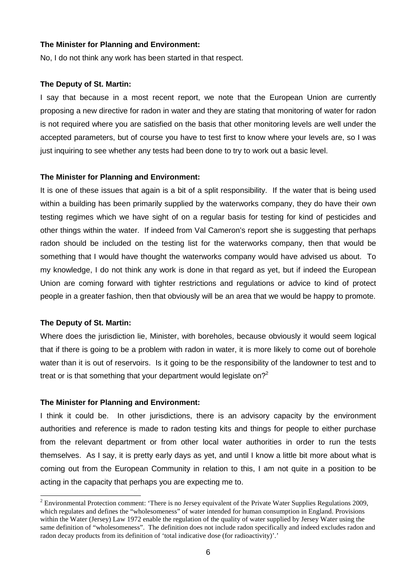#### **The Minister for Planning and Environment:**

No, I do not think any work has been started in that respect.

#### **The Deputy of St. Martin:**

I say that because in a most recent report, we note that the European Union are currently proposing a new directive for radon in water and they are stating that monitoring of water for radon is not required where you are satisfied on the basis that other monitoring levels are well under the accepted parameters, but of course you have to test first to know where your levels are, so I was just inquiring to see whether any tests had been done to try to work out a basic level.

#### **The Minister for Planning and Environment:**

It is one of these issues that again is a bit of a split responsibility. If the water that is being used within a building has been primarily supplied by the waterworks company, they do have their own testing regimes which we have sight of on a regular basis for testing for kind of pesticides and other things within the water. If indeed from Val Cameron's report she is suggesting that perhaps radon should be included on the testing list for the waterworks company, then that would be something that I would have thought the waterworks company would have advised us about. To my knowledge, I do not think any work is done in that regard as yet, but if indeed the European Union are coming forward with tighter restrictions and regulations or advice to kind of protect people in a greater fashion, then that obviously will be an area that we would be happy to promote.

#### **The Deputy of St. Martin:**

l

Where does the jurisdiction lie, Minister, with boreholes, because obviously it would seem logical that if there is going to be a problem with radon in water, it is more likely to come out of borehole water than it is out of reservoirs. Is it going to be the responsibility of the landowner to test and to treat or is that something that your department would legislate on?<sup>2</sup>

## **The Minister for Planning and Environment:**

I think it could be. In other jurisdictions, there is an advisory capacity by the environment authorities and reference is made to radon testing kits and things for people to either purchase from the relevant department or from other local water authorities in order to run the tests themselves. As I say, it is pretty early days as yet, and until I know a little bit more about what is coming out from the European Community in relation to this, I am not quite in a position to be acting in the capacity that perhaps you are expecting me to.

<sup>&</sup>lt;sup>2</sup> Environmental Protection comment: 'There is no Jersey equivalent of the Private Water Supplies Regulations 2009, which regulates and defines the "wholesomeness" of water intended for human consumption in England. Provisions within the Water (Jersey) Law 1972 enable the regulation of the quality of water supplied by Jersey Water using the same definition of "wholesomeness". The definition does not include radon specifically and indeed excludes radon and radon decay products from its definition of 'total indicative dose (for radioactivity)'.'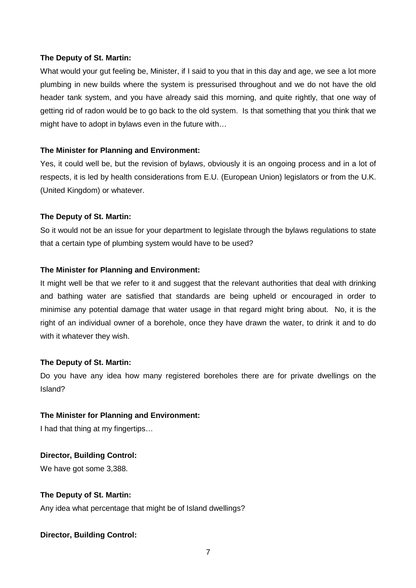#### **The Deputy of St. Martin:**

What would your gut feeling be, Minister, if I said to you that in this day and age, we see a lot more plumbing in new builds where the system is pressurised throughout and we do not have the old header tank system, and you have already said this morning, and quite rightly, that one way of getting rid of radon would be to go back to the old system. Is that something that you think that we might have to adopt in bylaws even in the future with…

## **The Minister for Planning and Environment:**

Yes, it could well be, but the revision of bylaws, obviously it is an ongoing process and in a lot of respects, it is led by health considerations from E.U. (European Union) legislators or from the U.K. (United Kingdom) or whatever.

#### **The Deputy of St. Martin:**

So it would not be an issue for your department to legislate through the bylaws regulations to state that a certain type of plumbing system would have to be used?

#### **The Minister for Planning and Environment:**

It might well be that we refer to it and suggest that the relevant authorities that deal with drinking and bathing water are satisfied that standards are being upheld or encouraged in order to minimise any potential damage that water usage in that regard might bring about. No, it is the right of an individual owner of a borehole, once they have drawn the water, to drink it and to do with it whatever they wish.

## **The Deputy of St. Martin:**

Do you have any idea how many registered boreholes there are for private dwellings on the Island?

#### **The Minister for Planning and Environment:**

I had that thing at my fingertips…

**Director, Building Control:** 

We have got some 3,388.

#### **The Deputy of St. Martin:**

Any idea what percentage that might be of Island dwellings?

## **Director, Building Control:**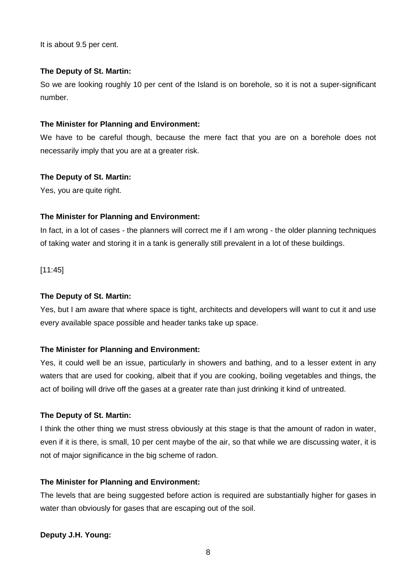It is about 9.5 per cent.

## **The Deputy of St. Martin:**

So we are looking roughly 10 per cent of the Island is on borehole, so it is not a super-significant number.

#### **The Minister for Planning and Environment:**

We have to be careful though, because the mere fact that you are on a borehole does not necessarily imply that you are at a greater risk.

#### **The Deputy of St. Martin:**

Yes, you are quite right.

## **The Minister for Planning and Environment:**

In fact, in a lot of cases - the planners will correct me if I am wrong - the older planning techniques of taking water and storing it in a tank is generally still prevalent in a lot of these buildings.

[11:45]

#### **The Deputy of St. Martin:**

Yes, but I am aware that where space is tight, architects and developers will want to cut it and use every available space possible and header tanks take up space.

## **The Minister for Planning and Environment:**

Yes, it could well be an issue, particularly in showers and bathing, and to a lesser extent in any waters that are used for cooking, albeit that if you are cooking, boiling vegetables and things, the act of boiling will drive off the gases at a greater rate than just drinking it kind of untreated.

#### **The Deputy of St. Martin:**

I think the other thing we must stress obviously at this stage is that the amount of radon in water, even if it is there, is small, 10 per cent maybe of the air, so that while we are discussing water, it is not of major significance in the big scheme of radon.

#### **The Minister for Planning and Environment:**

The levels that are being suggested before action is required are substantially higher for gases in water than obviously for gases that are escaping out of the soil.

## **Deputy J.H. Young:**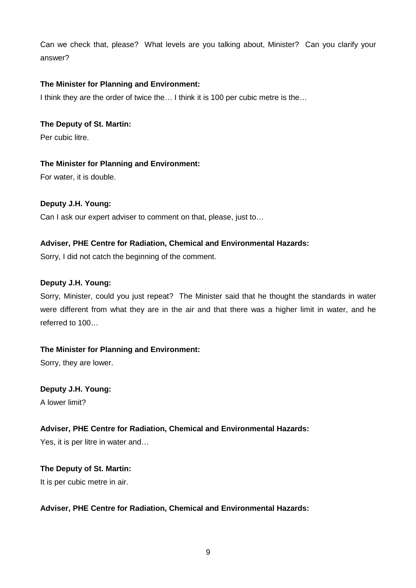Can we check that, please? What levels are you talking about, Minister? Can you clarify your answer?

# **The Minister for Planning and Environment:**

I think they are the order of twice the... I think it is 100 per cubic metre is the...

# **The Deputy of St. Martin:**

Per cubic litre.

# **The Minister for Planning and Environment:**

For water, it is double.

# **Deputy J.H. Young:**

Can I ask our expert adviser to comment on that, please, just to…

# **Adviser, PHE Centre for Radiation, Chemical and Environmental Hazards:**

Sorry, I did not catch the beginning of the comment.

# **Deputy J.H. Young:**

Sorry, Minister, could you just repeat? The Minister said that he thought the standards in water were different from what they are in the air and that there was a higher limit in water, and he referred to 100…

# **The Minister for Planning and Environment:**

Sorry, they are lower.

# **Deputy J.H. Young:**

A lower limit?

# **Adviser, PHE Centre for Radiation, Chemical and Environmental Hazards:**

Yes, it is per litre in water and…

# **The Deputy of St. Martin:**

It is per cubic metre in air.

# **Adviser, PHE Centre for Radiation, Chemical and Environmental Hazards:**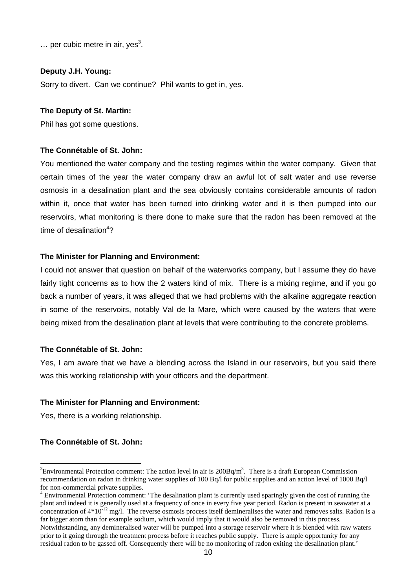$\ldots$  per cubic metre in air, yes<sup>3</sup>.

#### **Deputy J.H. Young:**

Sorry to divert. Can we continue? Phil wants to get in, yes.

#### **The Deputy of St. Martin:**

Phil has got some questions.

## **The Connétable of St. John:**

You mentioned the water company and the testing regimes within the water company. Given that certain times of the year the water company draw an awful lot of salt water and use reverse osmosis in a desalination plant and the sea obviously contains considerable amounts of radon within it, once that water has been turned into drinking water and it is then pumped into our reservoirs, what monitoring is there done to make sure that the radon has been removed at the time of desalination<sup>4</sup>?

#### **The Minister for Planning and Environment:**

I could not answer that question on behalf of the waterworks company, but I assume they do have fairly tight concerns as to how the 2 waters kind of mix. There is a mixing regime, and if you go back a number of years, it was alleged that we had problems with the alkaline aggregate reaction in some of the reservoirs, notably Val de la Mare, which were caused by the waters that were being mixed from the desalination plant at levels that were contributing to the concrete problems.

#### **The Connétable of St. John:**

Yes, I am aware that we have a blending across the Island in our reservoirs, but you said there was this working relationship with your officers and the department.

#### **The Minister for Planning and Environment:**

Yes, there is a working relationship.

## **The Connétable of St. John:**

 $\overline{a}$ 

<sup>&</sup>lt;sup>3</sup>Environmental Protection comment: The action level in air is  $200Bq/m<sup>3</sup>$ . There is a draft European Commission recommendation on radon in drinking water supplies of 100 Bq/l for public supplies and an action level of 1000 Bq/l for non-commercial private supplies.

<sup>&</sup>lt;sup>4</sup> Environmental Protection comment: 'The desalination plant is currently used sparingly given the cost of running the plant and indeed it is generally used at a frequency of once in every five year period. Radon is present in seawater at a concentration of  $4*10^{-12}$  mg/l. The reverse osmosis process itself demineralises the water and removes salts. Radon is a far bigger atom than for example sodium, which would imply that it would also be removed in this process. Notwithstanding, any demineralised water will be pumped into a storage reservoir where it is blended with raw waters prior to it going through the treatment process before it reaches public supply. There is ample opportunity for any residual radon to be gassed off. Consequently there will be no monitoring of radon exiting the desalination plant.'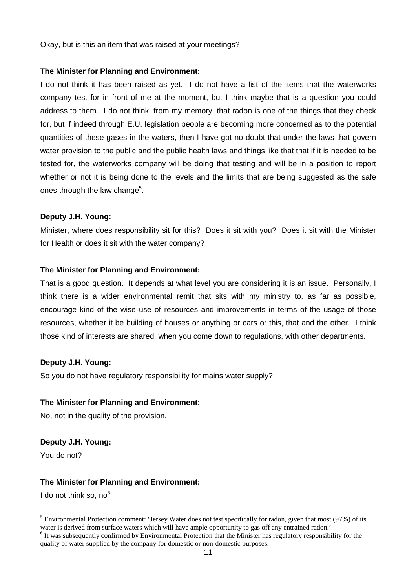Okay, but is this an item that was raised at your meetings?

#### **The Minister for Planning and Environment:**

I do not think it has been raised as yet. I do not have a list of the items that the waterworks company test for in front of me at the moment, but I think maybe that is a question you could address to them. I do not think, from my memory, that radon is one of the things that they check for, but if indeed through E.U. legislation people are becoming more concerned as to the potential quantities of these gases in the waters, then I have got no doubt that under the laws that govern water provision to the public and the public health laws and things like that that if it is needed to be tested for, the waterworks company will be doing that testing and will be in a position to report whether or not it is being done to the levels and the limits that are being suggested as the safe ones through the law change<sup>5</sup>.

## **Deputy J.H. Young:**

Minister, where does responsibility sit for this? Does it sit with you? Does it sit with the Minister for Health or does it sit with the water company?

## **The Minister for Planning and Environment:**

That is a good question. It depends at what level you are considering it is an issue. Personally, I think there is a wider environmental remit that sits with my ministry to, as far as possible, encourage kind of the wise use of resources and improvements in terms of the usage of those resources, whether it be building of houses or anything or cars or this, that and the other. I think those kind of interests are shared, when you come down to regulations, with other departments.

## **Deputy J.H. Young:**

So you do not have regulatory responsibility for mains water supply?

## **The Minister for Planning and Environment:**

No, not in the quality of the provision.

## **Deputy J.H. Young:**

You do not?

## **The Minister for Planning and Environment:**

I do not think so, no<sup>6</sup>.

 $\overline{a}$ <sup>5</sup> Environmental Protection comment: 'Jersey Water does not test specifically for radon, given that most (97%) of its water is derived from surface waters which will have ample opportunity to gas off any entrained radon.'

<sup>&</sup>lt;sup>6</sup> It was subsequently confirmed by Environmental Protection that the Minister has regulatory responsibility for the quality of water supplied by the company for domestic or non-domestic purposes.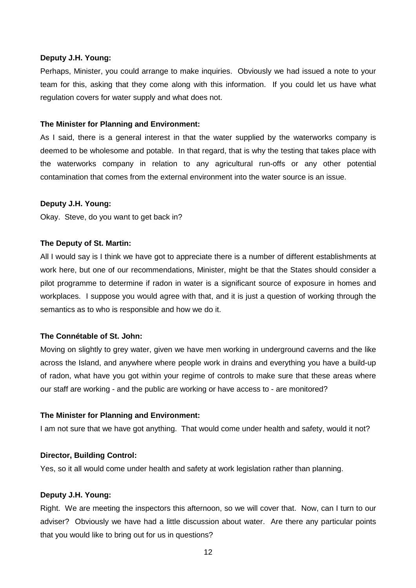#### **Deputy J.H. Young:**

Perhaps, Minister, you could arrange to make inquiries. Obviously we had issued a note to your team for this, asking that they come along with this information. If you could let us have what regulation covers for water supply and what does not.

#### **The Minister for Planning and Environment:**

As I said, there is a general interest in that the water supplied by the waterworks company is deemed to be wholesome and potable. In that regard, that is why the testing that takes place with the waterworks company in relation to any agricultural run-offs or any other potential contamination that comes from the external environment into the water source is an issue.

#### **Deputy J.H. Young:**

Okay. Steve, do you want to get back in?

#### **The Deputy of St. Martin:**

All I would say is I think we have got to appreciate there is a number of different establishments at work here, but one of our recommendations, Minister, might be that the States should consider a pilot programme to determine if radon in water is a significant source of exposure in homes and workplaces. I suppose you would agree with that, and it is just a question of working through the semantics as to who is responsible and how we do it.

#### **The Connétable of St. John:**

Moving on slightly to grey water, given we have men working in underground caverns and the like across the Island, and anywhere where people work in drains and everything you have a build-up of radon, what have you got within your regime of controls to make sure that these areas where our staff are working - and the public are working or have access to - are monitored?

#### **The Minister for Planning and Environment:**

I am not sure that we have got anything. That would come under health and safety, would it not?

#### **Director, Building Control:**

Yes, so it all would come under health and safety at work legislation rather than planning.

#### **Deputy J.H. Young:**

Right. We are meeting the inspectors this afternoon, so we will cover that. Now, can I turn to our adviser? Obviously we have had a little discussion about water. Are there any particular points that you would like to bring out for us in questions?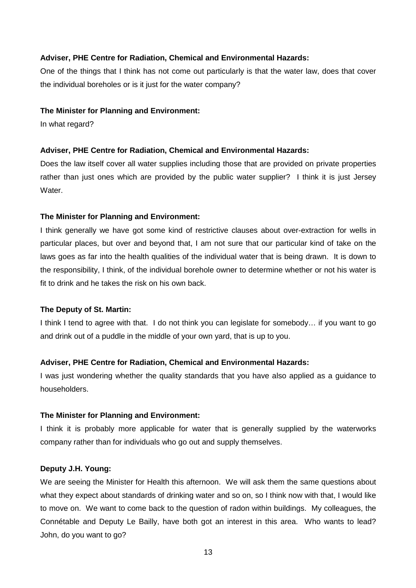#### **Adviser, PHE Centre for Radiation, Chemical and Environmental Hazards:**

One of the things that I think has not come out particularly is that the water law, does that cover the individual boreholes or is it just for the water company?

#### **The Minister for Planning and Environment:**

In what regard?

#### **Adviser, PHE Centre for Radiation, Chemical and Environmental Hazards:**

Does the law itself cover all water supplies including those that are provided on private properties rather than just ones which are provided by the public water supplier? I think it is just Jersey Water.

#### **The Minister for Planning and Environment:**

I think generally we have got some kind of restrictive clauses about over-extraction for wells in particular places, but over and beyond that, I am not sure that our particular kind of take on the laws goes as far into the health qualities of the individual water that is being drawn. It is down to the responsibility, I think, of the individual borehole owner to determine whether or not his water is fit to drink and he takes the risk on his own back.

#### **The Deputy of St. Martin:**

I think I tend to agree with that. I do not think you can legislate for somebody… if you want to go and drink out of a puddle in the middle of your own yard, that is up to you.

#### **Adviser, PHE Centre for Radiation, Chemical and Environmental Hazards:**

I was just wondering whether the quality standards that you have also applied as a guidance to householders.

#### **The Minister for Planning and Environment:**

I think it is probably more applicable for water that is generally supplied by the waterworks company rather than for individuals who go out and supply themselves.

#### **Deputy J.H. Young:**

We are seeing the Minister for Health this afternoon. We will ask them the same questions about what they expect about standards of drinking water and so on, so I think now with that, I would like to move on. We want to come back to the question of radon within buildings. My colleagues, the Connétable and Deputy Le Bailly, have both got an interest in this area. Who wants to lead? John, do you want to go?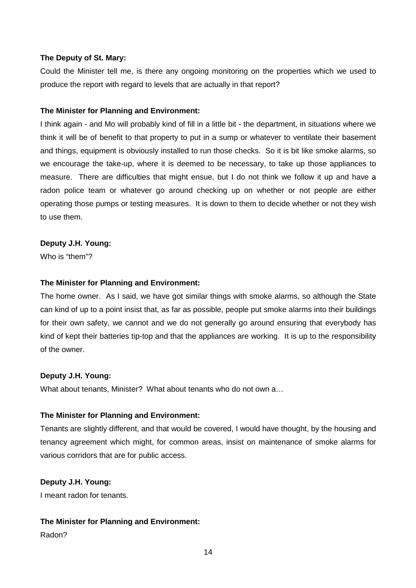#### **The Deputy of St. Mary:**

Could the Minister tell me, is there any ongoing monitoring on the properties which we used to produce the report with regard to levels that are actually in that report?

#### **The Minister for Planning and Environment:**

I think again - and Mo will probably kind of fill in a little bit - the department, in situations where we think it will be of benefit to that property to put in a sump or whatever to ventilate their basement and things, equipment is obviously installed to run those checks. So it is bit like smoke alarms, so we encourage the take-up, where it is deemed to be necessary, to take up those appliances to measure. There are difficulties that might ensue, but I do not think we follow it up and have a radon police team or whatever go around checking up on whether or not people are either operating those pumps or testing measures. It is down to them to decide whether or not they wish to use them.

## **Deputy J.H. Young:**

Who is "them"?

#### **The Minister for Planning and Environment:**

The home owner. As I said, we have got similar things with smoke alarms, so although the State can kind of up to a point insist that, as far as possible, people put smoke alarms into their buildings for their own safety, we cannot and we do not generally go around ensuring that everybody has kind of kept their batteries tip-top and that the appliances are working. It is up to the responsibility of the owner.

## **Deputy J.H. Young:**

What about tenants, Minister? What about tenants who do not own a…

#### **The Minister for Planning and Environment:**

Tenants are slightly different, and that would be covered, I would have thought, by the housing and tenancy agreement which might, for common areas, insist on maintenance of smoke alarms for various corridors that are for public access.

## **Deputy J.H. Young:**

I meant radon for tenants.

## **The Minister for Planning and Environment:**

Radon?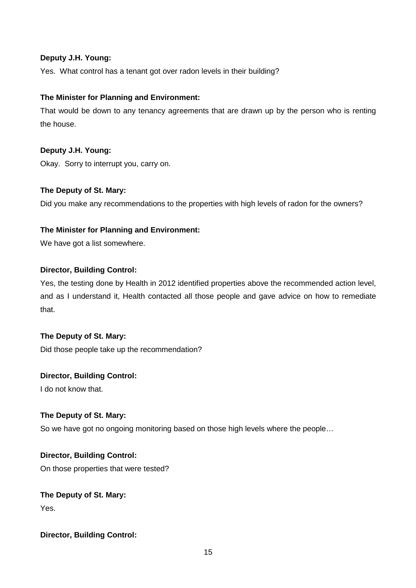## **Deputy J.H. Young:**

Yes. What control has a tenant got over radon levels in their building?

## **The Minister for Planning and Environment:**

That would be down to any tenancy agreements that are drawn up by the person who is renting the house.

## **Deputy J.H. Young:**

Okay. Sorry to interrupt you, carry on.

## **The Deputy of St. Mary:**

Did you make any recommendations to the properties with high levels of radon for the owners?

## **The Minister for Planning and Environment:**

We have got a list somewhere.

## **Director, Building Control:**

Yes, the testing done by Health in 2012 identified properties above the recommended action level, and as I understand it, Health contacted all those people and gave advice on how to remediate that.

## **The Deputy of St. Mary:**

Did those people take up the recommendation?

## **Director, Building Control:**

I do not know that.

## **The Deputy of St. Mary:**

So we have got no ongoing monitoring based on those high levels where the people…

# **Director, Building Control:**

On those properties that were tested?

# **The Deputy of St. Mary:**

Yes.

# **Director, Building Control:**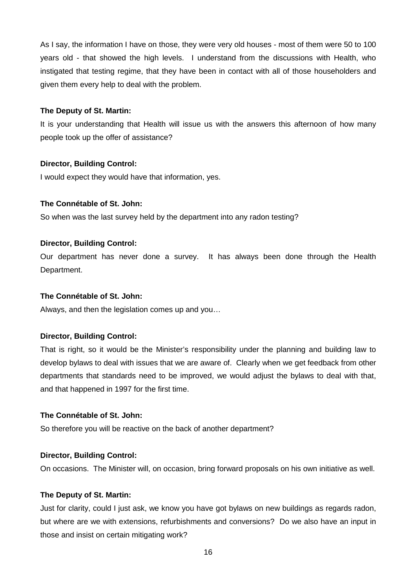As I say, the information I have on those, they were very old houses - most of them were 50 to 100 years old - that showed the high levels. I understand from the discussions with Health, who instigated that testing regime, that they have been in contact with all of those householders and given them every help to deal with the problem.

#### **The Deputy of St. Martin:**

It is your understanding that Health will issue us with the answers this afternoon of how many people took up the offer of assistance?

## **Director, Building Control:**

I would expect they would have that information, yes.

#### **The Connétable of St. John:**

So when was the last survey held by the department into any radon testing?

## **Director, Building Control:**

Our department has never done a survey. It has always been done through the Health Department.

#### **The Connétable of St. John:**

Always, and then the legislation comes up and you…

#### **Director, Building Control:**

That is right, so it would be the Minister's responsibility under the planning and building law to develop bylaws to deal with issues that we are aware of. Clearly when we get feedback from other departments that standards need to be improved, we would adjust the bylaws to deal with that, and that happened in 1997 for the first time.

#### **The Connétable of St. John:**

So therefore you will be reactive on the back of another department?

## **Director, Building Control:**

On occasions. The Minister will, on occasion, bring forward proposals on his own initiative as well.

#### **The Deputy of St. Martin:**

Just for clarity, could I just ask, we know you have got bylaws on new buildings as regards radon, but where are we with extensions, refurbishments and conversions? Do we also have an input in those and insist on certain mitigating work?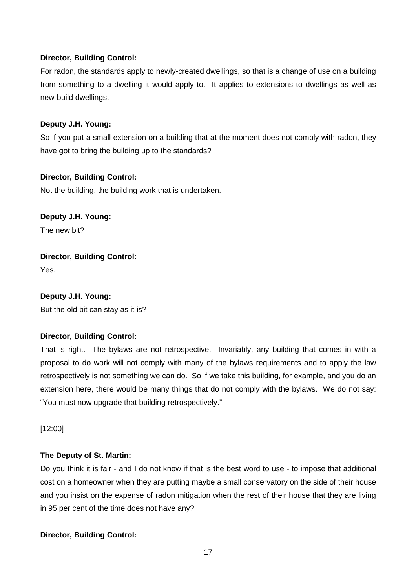## **Director, Building Control:**

For radon, the standards apply to newly-created dwellings, so that is a change of use on a building from something to a dwelling it would apply to. It applies to extensions to dwellings as well as new-build dwellings.

#### **Deputy J.H. Young:**

So if you put a small extension on a building that at the moment does not comply with radon, they have got to bring the building up to the standards?

#### **Director, Building Control:**

Not the building, the building work that is undertaken.

**Deputy J.H. Young:** The new bit?

## **Director, Building Control:**

Yes.

## **Deputy J.H. Young:**

But the old bit can stay as it is?

## **Director, Building Control:**

That is right. The bylaws are not retrospective. Invariably, any building that comes in with a proposal to do work will not comply with many of the bylaws requirements and to apply the law retrospectively is not something we can do. So if we take this building, for example, and you do an extension here, there would be many things that do not comply with the bylaws. We do not say: "You must now upgrade that building retrospectively."

[12:00]

## **The Deputy of St. Martin:**

Do you think it is fair - and I do not know if that is the best word to use - to impose that additional cost on a homeowner when they are putting maybe a small conservatory on the side of their house and you insist on the expense of radon mitigation when the rest of their house that they are living in 95 per cent of the time does not have any?

## **Director, Building Control:**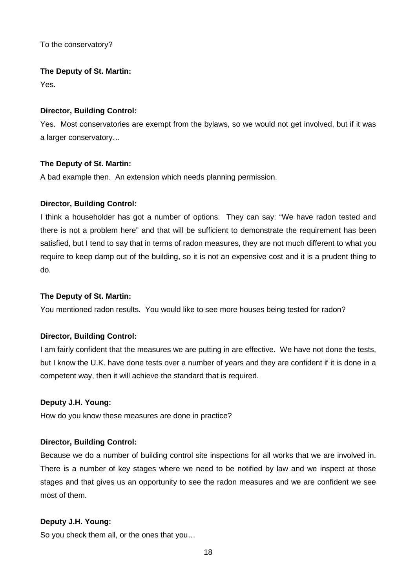To the conservatory?

## **The Deputy of St. Martin:**

Yes.

## **Director, Building Control:**

Yes. Most conservatories are exempt from the bylaws, so we would not get involved, but if it was a larger conservatory…

## **The Deputy of St. Martin:**

A bad example then. An extension which needs planning permission.

## **Director, Building Control:**

I think a householder has got a number of options. They can say: "We have radon tested and there is not a problem here" and that will be sufficient to demonstrate the requirement has been satisfied, but I tend to say that in terms of radon measures, they are not much different to what you require to keep damp out of the building, so it is not an expensive cost and it is a prudent thing to do.

## **The Deputy of St. Martin:**

You mentioned radon results. You would like to see more houses being tested for radon?

# **Director, Building Control:**

I am fairly confident that the measures we are putting in are effective. We have not done the tests, but I know the U.K. have done tests over a number of years and they are confident if it is done in a competent way, then it will achieve the standard that is required.

## **Deputy J.H. Young:**

How do you know these measures are done in practice?

## **Director, Building Control:**

Because we do a number of building control site inspections for all works that we are involved in. There is a number of key stages where we need to be notified by law and we inspect at those stages and that gives us an opportunity to see the radon measures and we are confident we see most of them.

## **Deputy J.H. Young:**

So you check them all, or the ones that you…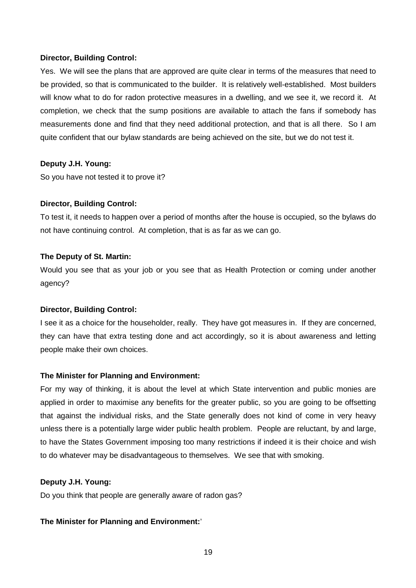#### **Director, Building Control:**

Yes. We will see the plans that are approved are quite clear in terms of the measures that need to be provided, so that is communicated to the builder. It is relatively well-established. Most builders will know what to do for radon protective measures in a dwelling, and we see it, we record it. At completion, we check that the sump positions are available to attach the fans if somebody has measurements done and find that they need additional protection, and that is all there. So I am quite confident that our bylaw standards are being achieved on the site, but we do not test it.

## **Deputy J.H. Young:**

So you have not tested it to prove it?

#### **Director, Building Control:**

To test it, it needs to happen over a period of months after the house is occupied, so the bylaws do not have continuing control. At completion, that is as far as we can go.

#### **The Deputy of St. Martin:**

Would you see that as your job or you see that as Health Protection or coming under another agency?

## **Director, Building Control:**

I see it as a choice for the householder, really. They have got measures in. If they are concerned, they can have that extra testing done and act accordingly, so it is about awareness and letting people make their own choices.

## **The Minister for Planning and Environment:**

For my way of thinking, it is about the level at which State intervention and public monies are applied in order to maximise any benefits for the greater public, so you are going to be offsetting that against the individual risks, and the State generally does not kind of come in very heavy unless there is a potentially large wider public health problem. People are reluctant, by and large, to have the States Government imposing too many restrictions if indeed it is their choice and wish to do whatever may be disadvantageous to themselves. We see that with smoking.

#### **Deputy J.H. Young:**

Do you think that people are generally aware of radon gas?

## **The Minister for Planning and Environment:**'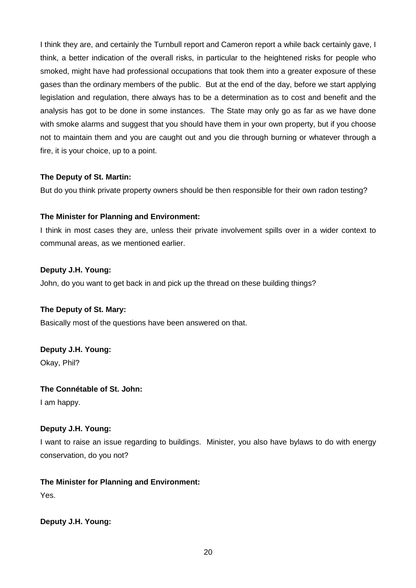I think they are, and certainly the Turnbull report and Cameron report a while back certainly gave, I think, a better indication of the overall risks, in particular to the heightened risks for people who smoked, might have had professional occupations that took them into a greater exposure of these gases than the ordinary members of the public. But at the end of the day, before we start applying legislation and regulation, there always has to be a determination as to cost and benefit and the analysis has got to be done in some instances. The State may only go as far as we have done with smoke alarms and suggest that you should have them in your own property, but if you choose not to maintain them and you are caught out and you die through burning or whatever through a fire, it is your choice, up to a point.

# **The Deputy of St. Martin:**

But do you think private property owners should be then responsible for their own radon testing?

## **The Minister for Planning and Environment:**

I think in most cases they are, unless their private involvement spills over in a wider context to communal areas, as we mentioned earlier.

## **Deputy J.H. Young:**

John, do you want to get back in and pick up the thread on these building things?

## **The Deputy of St. Mary:**

Basically most of the questions have been answered on that.

## **Deputy J.H. Young:**

Okay, Phil?

## **The Connétable of St. John:**

I am happy.

## **Deputy J.H. Young:**

I want to raise an issue regarding to buildings. Minister, you also have bylaws to do with energy conservation, do you not?

# **The Minister for Planning and Environment:**

Yes.

# **Deputy J.H. Young:**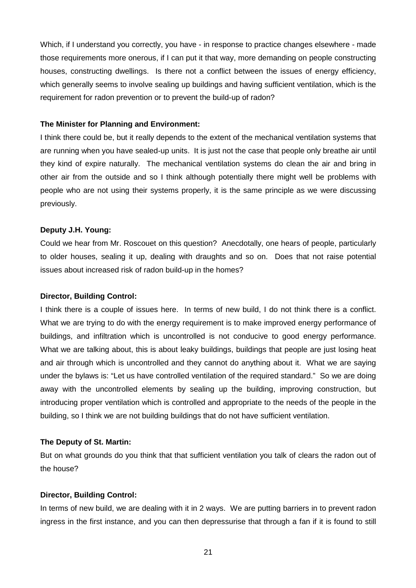Which, if I understand you correctly, you have - in response to practice changes elsewhere - made those requirements more onerous, if I can put it that way, more demanding on people constructing houses, constructing dwellings. Is there not a conflict between the issues of energy efficiency, which generally seems to involve sealing up buildings and having sufficient ventilation, which is the requirement for radon prevention or to prevent the build-up of radon?

#### **The Minister for Planning and Environment:**

I think there could be, but it really depends to the extent of the mechanical ventilation systems that are running when you have sealed-up units. It is just not the case that people only breathe air until they kind of expire naturally. The mechanical ventilation systems do clean the air and bring in other air from the outside and so I think although potentially there might well be problems with people who are not using their systems properly, it is the same principle as we were discussing previously.

#### **Deputy J.H. Young:**

Could we hear from Mr. Roscouet on this question? Anecdotally, one hears of people, particularly to older houses, sealing it up, dealing with draughts and so on. Does that not raise potential issues about increased risk of radon build-up in the homes?

#### **Director, Building Control:**

I think there is a couple of issues here. In terms of new build, I do not think there is a conflict. What we are trying to do with the energy requirement is to make improved energy performance of buildings, and infiltration which is uncontrolled is not conducive to good energy performance. What we are talking about, this is about leaky buildings, buildings that people are just losing heat and air through which is uncontrolled and they cannot do anything about it. What we are saying under the bylaws is: "Let us have controlled ventilation of the required standard." So we are doing away with the uncontrolled elements by sealing up the building, improving construction, but introducing proper ventilation which is controlled and appropriate to the needs of the people in the building, so I think we are not building buildings that do not have sufficient ventilation.

#### **The Deputy of St. Martin:**

But on what grounds do you think that that sufficient ventilation you talk of clears the radon out of the house?

#### **Director, Building Control:**

In terms of new build, we are dealing with it in 2 ways. We are putting barriers in to prevent radon ingress in the first instance, and you can then depressurise that through a fan if it is found to still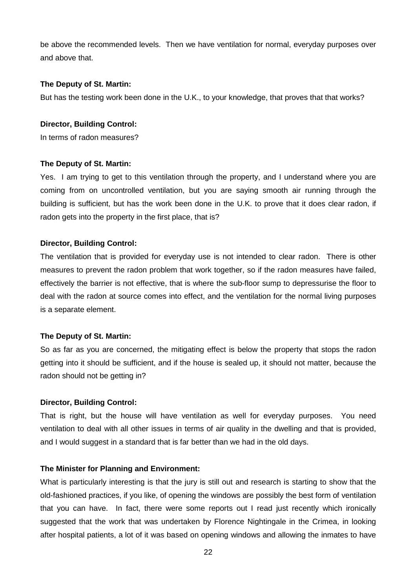be above the recommended levels. Then we have ventilation for normal, everyday purposes over and above that.

#### **The Deputy of St. Martin:**

But has the testing work been done in the U.K., to your knowledge, that proves that that works?

#### **Director, Building Control:**

In terms of radon measures?

#### **The Deputy of St. Martin:**

Yes. I am trying to get to this ventilation through the property, and I understand where you are coming from on uncontrolled ventilation, but you are saying smooth air running through the building is sufficient, but has the work been done in the U.K. to prove that it does clear radon, if radon gets into the property in the first place, that is?

#### **Director, Building Control:**

The ventilation that is provided for everyday use is not intended to clear radon. There is other measures to prevent the radon problem that work together, so if the radon measures have failed, effectively the barrier is not effective, that is where the sub-floor sump to depressurise the floor to deal with the radon at source comes into effect, and the ventilation for the normal living purposes is a separate element.

#### **The Deputy of St. Martin:**

So as far as you are concerned, the mitigating effect is below the property that stops the radon getting into it should be sufficient, and if the house is sealed up, it should not matter, because the radon should not be getting in?

#### **Director, Building Control:**

That is right, but the house will have ventilation as well for everyday purposes. You need ventilation to deal with all other issues in terms of air quality in the dwelling and that is provided, and I would suggest in a standard that is far better than we had in the old days.

## **The Minister for Planning and Environment:**

What is particularly interesting is that the jury is still out and research is starting to show that the old-fashioned practices, if you like, of opening the windows are possibly the best form of ventilation that you can have. In fact, there were some reports out I read just recently which ironically suggested that the work that was undertaken by Florence Nightingale in the Crimea, in looking after hospital patients, a lot of it was based on opening windows and allowing the inmates to have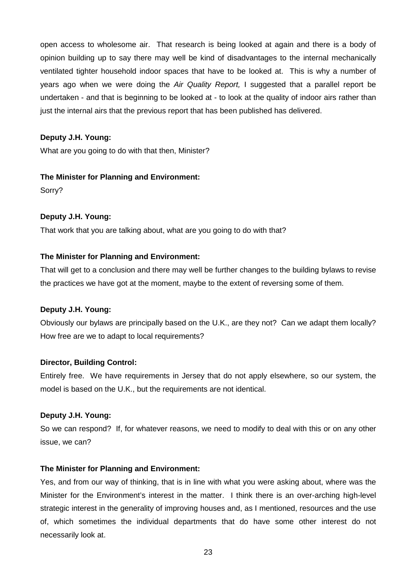open access to wholesome air. That research is being looked at again and there is a body of opinion building up to say there may well be kind of disadvantages to the internal mechanically ventilated tighter household indoor spaces that have to be looked at. This is why a number of years ago when we were doing the Air Quality Report, I suggested that a parallel report be undertaken - and that is beginning to be looked at - to look at the quality of indoor airs rather than just the internal airs that the previous report that has been published has delivered.

## **Deputy J.H. Young:**

What are you going to do with that then, Minister?

## **The Minister for Planning and Environment:**

Sorry?

## **Deputy J.H. Young:**

That work that you are talking about, what are you going to do with that?

## **The Minister for Planning and Environment:**

That will get to a conclusion and there may well be further changes to the building bylaws to revise the practices we have got at the moment, maybe to the extent of reversing some of them.

## **Deputy J.H. Young:**

Obviously our bylaws are principally based on the U.K., are they not? Can we adapt them locally? How free are we to adapt to local requirements?

## **Director, Building Control:**

Entirely free. We have requirements in Jersey that do not apply elsewhere, so our system, the model is based on the U.K., but the requirements are not identical.

## **Deputy J.H. Young:**

So we can respond? If, for whatever reasons, we need to modify to deal with this or on any other issue, we can?

## **The Minister for Planning and Environment:**

Yes, and from our way of thinking, that is in line with what you were asking about, where was the Minister for the Environment's interest in the matter. I think there is an over-arching high-level strategic interest in the generality of improving houses and, as I mentioned, resources and the use of, which sometimes the individual departments that do have some other interest do not necessarily look at.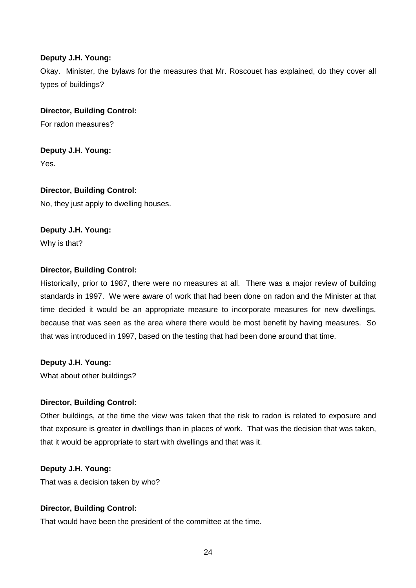#### **Deputy J.H. Young:**

Okay. Minister, the bylaws for the measures that Mr. Roscouet has explained, do they cover all types of buildings?

## **Director, Building Control:**

For radon measures?

# **Deputy J.H. Young:**

Yes.

# **Director, Building Control:**

No, they just apply to dwelling houses.

## **Deputy J.H. Young:**

Why is that?

## **Director, Building Control:**

Historically, prior to 1987, there were no measures at all. There was a major review of building standards in 1997. We were aware of work that had been done on radon and the Minister at that time decided it would be an appropriate measure to incorporate measures for new dwellings, because that was seen as the area where there would be most benefit by having measures. So that was introduced in 1997, based on the testing that had been done around that time.

## **Deputy J.H. Young:**

What about other buildings?

## **Director, Building Control:**

Other buildings, at the time the view was taken that the risk to radon is related to exposure and that exposure is greater in dwellings than in places of work. That was the decision that was taken, that it would be appropriate to start with dwellings and that was it.

## **Deputy J.H. Young:**

That was a decision taken by who?

## **Director, Building Control:**

That would have been the president of the committee at the time.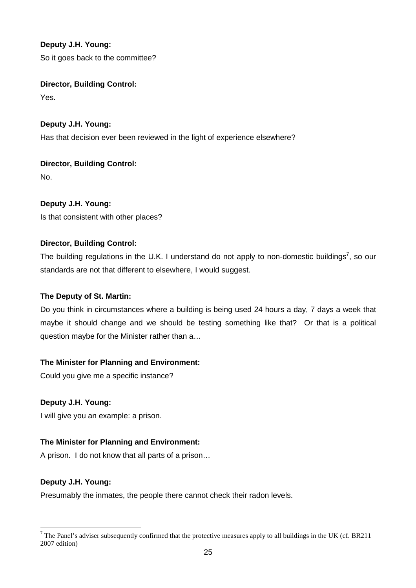## **Deputy J.H. Young:**

So it goes back to the committee?

**Director, Building Control:**

Yes.

**Deputy J.H. Young:**

Has that decision ever been reviewed in the light of experience elsewhere?

**Director, Building Control:** No.

**Deputy J.H. Young:** Is that consistent with other places?

# **Director, Building Control:**

The building regulations in the U.K. I understand do not apply to non-domestic buildings<sup>7</sup>, so our standards are not that different to elsewhere, I would suggest.

# **The Deputy of St. Martin:**

Do you think in circumstances where a building is being used 24 hours a day, 7 days a week that maybe it should change and we should be testing something like that? Or that is a political question maybe for the Minister rather than a…

# **The Minister for Planning and Environment:**

Could you give me a specific instance?

# **Deputy J.H. Young:**

I will give you an example: a prison.

# **The Minister for Planning and Environment:**

A prison. I do not know that all parts of a prison…

## **Deputy J.H. Young:**

Presumably the inmates, the people there cannot check their radon levels.

<sup>&</sup>lt;sup>7</sup> The Panel's adviser subsequently confirmed that the protective measures apply to all buildings in the UK (cf. BR211 2007 edition)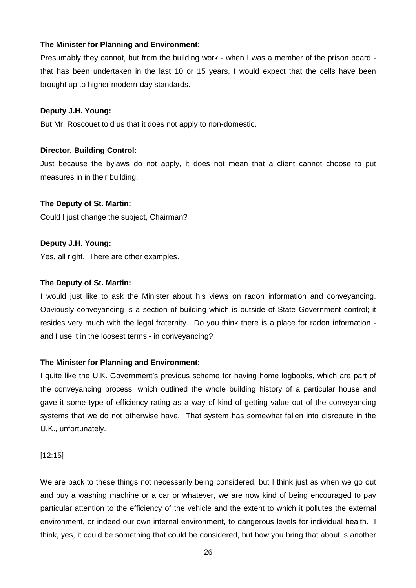## **The Minister for Planning and Environment:**

Presumably they cannot, but from the building work - when I was a member of the prison board that has been undertaken in the last 10 or 15 years, I would expect that the cells have been brought up to higher modern-day standards.

#### **Deputy J.H. Young:**

But Mr. Roscouet told us that it does not apply to non-domestic.

## **Director, Building Control:**

Just because the bylaws do not apply, it does not mean that a client cannot choose to put measures in in their building.

## **The Deputy of St. Martin:**

Could I just change the subject, Chairman?

## **Deputy J.H. Young:**

Yes, all right. There are other examples.

#### **The Deputy of St. Martin:**

I would just like to ask the Minister about his views on radon information and conveyancing. Obviously conveyancing is a section of building which is outside of State Government control; it resides very much with the legal fraternity. Do you think there is a place for radon information and I use it in the loosest terms - in conveyancing?

## **The Minister for Planning and Environment:**

I quite like the U.K. Government's previous scheme for having home logbooks, which are part of the conveyancing process, which outlined the whole building history of a particular house and gave it some type of efficiency rating as a way of kind of getting value out of the conveyancing systems that we do not otherwise have. That system has somewhat fallen into disrepute in the U.K., unfortunately.

[12:15]

We are back to these things not necessarily being considered, but I think just as when we go out and buy a washing machine or a car or whatever, we are now kind of being encouraged to pay particular attention to the efficiency of the vehicle and the extent to which it pollutes the external environment, or indeed our own internal environment, to dangerous levels for individual health. I think, yes, it could be something that could be considered, but how you bring that about is another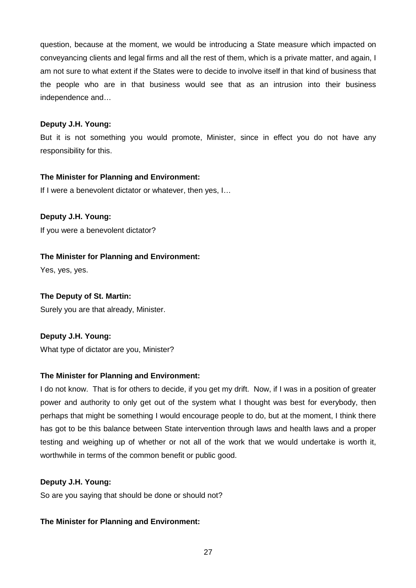question, because at the moment, we would be introducing a State measure which impacted on conveyancing clients and legal firms and all the rest of them, which is a private matter, and again, I am not sure to what extent if the States were to decide to involve itself in that kind of business that the people who are in that business would see that as an intrusion into their business independence and…

# **Deputy J.H. Young:**

But it is not something you would promote, Minister, since in effect you do not have any responsibility for this.

# **The Minister for Planning and Environment:**

If I were a benevolent dictator or whatever, then yes, I…

**Deputy J.H. Young:** If you were a benevolent dictator?

# **The Minister for Planning and Environment:**

Yes, yes, yes.

## **The Deputy of St. Martin:**

Surely you are that already, Minister.

# **Deputy J.H. Young:**

What type of dictator are you, Minister?

# **The Minister for Planning and Environment:**

I do not know. That is for others to decide, if you get my drift. Now, if I was in a position of greater power and authority to only get out of the system what I thought was best for everybody, then perhaps that might be something I would encourage people to do, but at the moment, I think there has got to be this balance between State intervention through laws and health laws and a proper testing and weighing up of whether or not all of the work that we would undertake is worth it, worthwhile in terms of the common benefit or public good.

# **Deputy J.H. Young:**

So are you saying that should be done or should not?

# **The Minister for Planning and Environment:**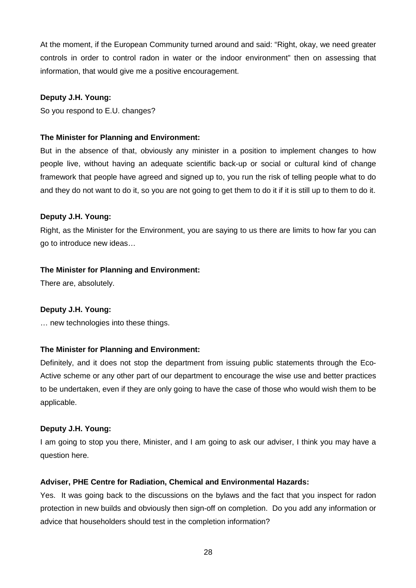At the moment, if the European Community turned around and said: "Right, okay, we need greater controls in order to control radon in water or the indoor environment" then on assessing that information, that would give me a positive encouragement.

## **Deputy J.H. Young:**

So you respond to E.U. changes?

## **The Minister for Planning and Environment:**

But in the absence of that, obviously any minister in a position to implement changes to how people live, without having an adequate scientific back-up or social or cultural kind of change framework that people have agreed and signed up to, you run the risk of telling people what to do and they do not want to do it, so you are not going to get them to do it if it is still up to them to do it.

## **Deputy J.H. Young:**

Right, as the Minister for the Environment, you are saying to us there are limits to how far you can go to introduce new ideas…

## **The Minister for Planning and Environment:**

There are, absolutely.

## **Deputy J.H. Young:**

… new technologies into these things.

## **The Minister for Planning and Environment:**

Definitely, and it does not stop the department from issuing public statements through the Eco-Active scheme or any other part of our department to encourage the wise use and better practices to be undertaken, even if they are only going to have the case of those who would wish them to be applicable.

## **Deputy J.H. Young:**

I am going to stop you there, Minister, and I am going to ask our adviser, I think you may have a question here.

## **Adviser, PHE Centre for Radiation, Chemical and Environmental Hazards:**

Yes. It was going back to the discussions on the bylaws and the fact that you inspect for radon protection in new builds and obviously then sign-off on completion. Do you add any information or advice that householders should test in the completion information?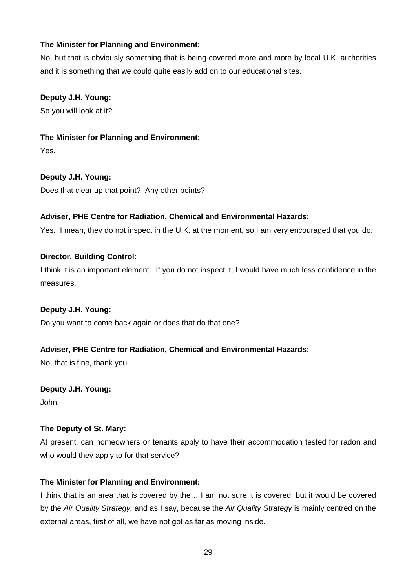# **The Minister for Planning and Environment:**

No, but that is obviously something that is being covered more and more by local U.K. authorities and it is something that we could quite easily add on to our educational sites.

## **Deputy J.H. Young:**

So you will look at it?

## **The Minister for Planning and Environment:**

Yes.

# **Deputy J.H. Young:**

Does that clear up that point? Any other points?

# **Adviser, PHE Centre for Radiation, Chemical and Environmental Hazards:**

Yes. I mean, they do not inspect in the U.K. at the moment, so I am very encouraged that you do.

# **Director, Building Control:**

I think it is an important element. If you do not inspect it, I would have much less confidence in the measures.

## **Deputy J.H. Young:**

Do you want to come back again or does that do that one?

# **Adviser, PHE Centre for Radiation, Chemical and Environmental Hazards:**

No, that is fine, thank you.

# **Deputy J.H. Young:**

John.

## **The Deputy of St. Mary:**

At present, can homeowners or tenants apply to have their accommodation tested for radon and who would they apply to for that service?

# **The Minister for Planning and Environment:**

I think that is an area that is covered by the… I am not sure it is covered, but it would be covered by the Air Quality Strategy, and as I say, because the Air Quality Strategy is mainly centred on the external areas, first of all, we have not got as far as moving inside.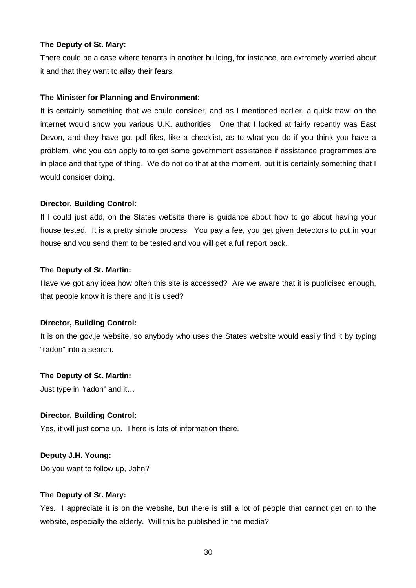#### **The Deputy of St. Mary:**

There could be a case where tenants in another building, for instance, are extremely worried about it and that they want to allay their fears.

## **The Minister for Planning and Environment:**

It is certainly something that we could consider, and as I mentioned earlier, a quick trawl on the internet would show you various U.K. authorities. One that I looked at fairly recently was East Devon, and they have got pdf files, like a checklist, as to what you do if you think you have a problem, who you can apply to to get some government assistance if assistance programmes are in place and that type of thing. We do not do that at the moment, but it is certainly something that I would consider doing.

## **Director, Building Control:**

If I could just add, on the States website there is guidance about how to go about having your house tested. It is a pretty simple process. You pay a fee, you get given detectors to put in your house and you send them to be tested and you will get a full report back.

## **The Deputy of St. Martin:**

Have we got any idea how often this site is accessed? Are we aware that it is publicised enough, that people know it is there and it is used?

## **Director, Building Control:**

It is on the gov.je website, so anybody who uses the States website would easily find it by typing "radon" into a search.

# **The Deputy of St. Martin:**

Just type in "radon" and it…

## **Director, Building Control:**

Yes, it will just come up. There is lots of information there.

# **Deputy J.H. Young:**

Do you want to follow up, John?

## **The Deputy of St. Mary:**

Yes. I appreciate it is on the website, but there is still a lot of people that cannot get on to the website, especially the elderly. Will this be published in the media?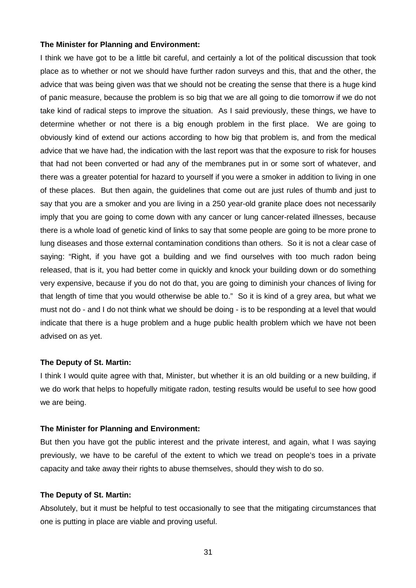#### **The Minister for Planning and Environment:**

I think we have got to be a little bit careful, and certainly a lot of the political discussion that took place as to whether or not we should have further radon surveys and this, that and the other, the advice that was being given was that we should not be creating the sense that there is a huge kind of panic measure, because the problem is so big that we are all going to die tomorrow if we do not take kind of radical steps to improve the situation. As I said previously, these things, we have to determine whether or not there is a big enough problem in the first place. We are going to obviously kind of extend our actions according to how big that problem is, and from the medical advice that we have had, the indication with the last report was that the exposure to risk for houses that had not been converted or had any of the membranes put in or some sort of whatever, and there was a greater potential for hazard to yourself if you were a smoker in addition to living in one of these places. But then again, the guidelines that come out are just rules of thumb and just to say that you are a smoker and you are living in a 250 year-old granite place does not necessarily imply that you are going to come down with any cancer or lung cancer-related illnesses, because there is a whole load of genetic kind of links to say that some people are going to be more prone to lung diseases and those external contamination conditions than others. So it is not a clear case of saying: "Right, if you have got a building and we find ourselves with too much radon being released, that is it, you had better come in quickly and knock your building down or do something very expensive, because if you do not do that, you are going to diminish your chances of living for that length of time that you would otherwise be able to." So it is kind of a grey area, but what we must not do - and I do not think what we should be doing - is to be responding at a level that would indicate that there is a huge problem and a huge public health problem which we have not been advised on as yet.

#### **The Deputy of St. Martin:**

I think I would quite agree with that, Minister, but whether it is an old building or a new building, if we do work that helps to hopefully mitigate radon, testing results would be useful to see how good we are being.

#### **The Minister for Planning and Environment:**

But then you have got the public interest and the private interest, and again, what I was saying previously, we have to be careful of the extent to which we tread on people's toes in a private capacity and take away their rights to abuse themselves, should they wish to do so.

#### **The Deputy of St. Martin:**

Absolutely, but it must be helpful to test occasionally to see that the mitigating circumstances that one is putting in place are viable and proving useful.

31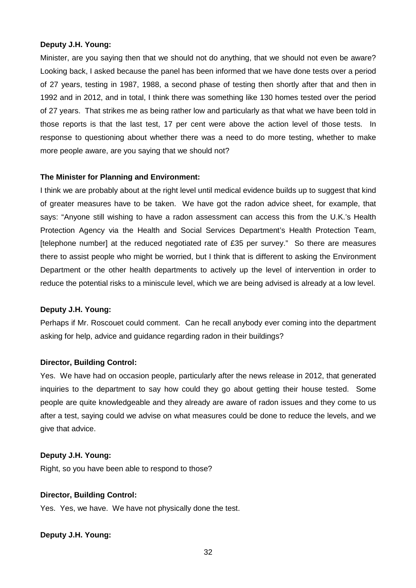#### **Deputy J.H. Young:**

Minister, are you saying then that we should not do anything, that we should not even be aware? Looking back, I asked because the panel has been informed that we have done tests over a period of 27 years, testing in 1987, 1988, a second phase of testing then shortly after that and then in 1992 and in 2012, and in total, I think there was something like 130 homes tested over the period of 27 years. That strikes me as being rather low and particularly as that what we have been told in those reports is that the last test, 17 per cent were above the action level of those tests. In response to questioning about whether there was a need to do more testing, whether to make more people aware, are you saying that we should not?

#### **The Minister for Planning and Environment:**

I think we are probably about at the right level until medical evidence builds up to suggest that kind of greater measures have to be taken. We have got the radon advice sheet, for example, that says: "Anyone still wishing to have a radon assessment can access this from the U.K.'s Health Protection Agency via the Health and Social Services Department's Health Protection Team, [telephone number] at the reduced negotiated rate of £35 per survey." So there are measures there to assist people who might be worried, but I think that is different to asking the Environment Department or the other health departments to actively up the level of intervention in order to reduce the potential risks to a miniscule level, which we are being advised is already at a low level.

#### **Deputy J.H. Young:**

Perhaps if Mr. Roscouet could comment. Can he recall anybody ever coming into the department asking for help, advice and guidance regarding radon in their buildings?

#### **Director, Building Control:**

Yes. We have had on occasion people, particularly after the news release in 2012, that generated inquiries to the department to say how could they go about getting their house tested. Some people are quite knowledgeable and they already are aware of radon issues and they come to us after a test, saying could we advise on what measures could be done to reduce the levels, and we give that advice.

## **Deputy J.H. Young:**

Right, so you have been able to respond to those?

## **Director, Building Control:**

Yes. Yes, we have. We have not physically done the test.

#### **Deputy J.H. Young:**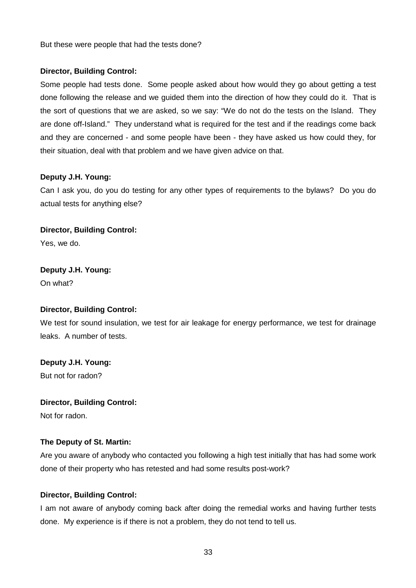But these were people that had the tests done?

#### **Director, Building Control:**

Some people had tests done. Some people asked about how would they go about getting a test done following the release and we guided them into the direction of how they could do it. That is the sort of questions that we are asked, so we say: "We do not do the tests on the Island. They are done off-Island." They understand what is required for the test and if the readings come back and they are concerned - and some people have been - they have asked us how could they, for their situation, deal with that problem and we have given advice on that.

#### **Deputy J.H. Young:**

Can I ask you, do you do testing for any other types of requirements to the bylaws? Do you do actual tests for anything else?

# **Director, Building Control:**

Yes, we do.

#### **Deputy J.H. Young:**

On what?

## **Director, Building Control:**

We test for sound insulation, we test for air leakage for energy performance, we test for drainage leaks. A number of tests.

## **Deputy J.H. Young:**

But not for radon?

## **Director, Building Control:**

Not for radon.

## **The Deputy of St. Martin:**

Are you aware of anybody who contacted you following a high test initially that has had some work done of their property who has retested and had some results post-work?

## **Director, Building Control:**

I am not aware of anybody coming back after doing the remedial works and having further tests done. My experience is if there is not a problem, they do not tend to tell us.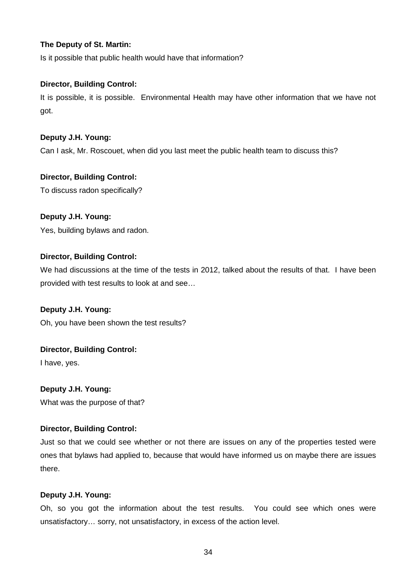## **The Deputy of St. Martin:**

Is it possible that public health would have that information?

## **Director, Building Control:**

It is possible, it is possible. Environmental Health may have other information that we have not got.

## **Deputy J.H. Young:**

Can I ask, Mr. Roscouet, when did you last meet the public health team to discuss this?

## **Director, Building Control:**

To discuss radon specifically?

## **Deputy J.H. Young:**

Yes, building bylaws and radon.

## **Director, Building Control:**

We had discussions at the time of the tests in 2012, talked about the results of that. I have been provided with test results to look at and see…

## **Deputy J.H. Young:**

Oh, you have been shown the test results?

## **Director, Building Control:**

I have, yes.

## **Deputy J.H. Young:**

What was the purpose of that?

# **Director, Building Control:**

Just so that we could see whether or not there are issues on any of the properties tested were ones that bylaws had applied to, because that would have informed us on maybe there are issues there.

## **Deputy J.H. Young:**

Oh, so you got the information about the test results. You could see which ones were unsatisfactory… sorry, not unsatisfactory, in excess of the action level.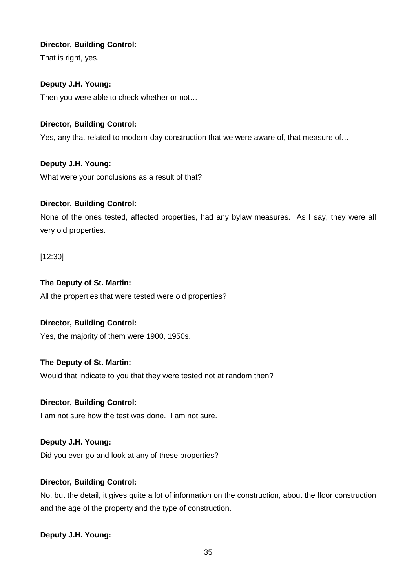# **Director, Building Control:**

That is right, yes.

# **Deputy J.H. Young:**

Then you were able to check whether or not…

# **Director, Building Control:**

Yes, any that related to modern-day construction that we were aware of, that measure of…

# **Deputy J.H. Young:**

What were your conclusions as a result of that?

# **Director, Building Control:**

None of the ones tested, affected properties, had any bylaw measures. As I say, they were all very old properties.

[12:30]

# **The Deputy of St. Martin:**

All the properties that were tested were old properties?

# **Director, Building Control:**

Yes, the majority of them were 1900, 1950s.

# **The Deputy of St. Martin:**

Would that indicate to you that they were tested not at random then?

# **Director, Building Control:**

I am not sure how the test was done. I am not sure.

# **Deputy J.H. Young:**

Did you ever go and look at any of these properties?

# **Director, Building Control:**

No, but the detail, it gives quite a lot of information on the construction, about the floor construction and the age of the property and the type of construction.

# **Deputy J.H. Young:**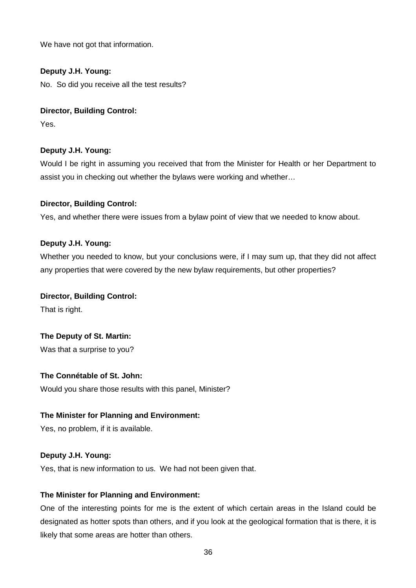We have not got that information.

## **Deputy J.H. Young:**

No. So did you receive all the test results?

## **Director, Building Control:**

Yes.

## **Deputy J.H. Young:**

Would I be right in assuming you received that from the Minister for Health or her Department to assist you in checking out whether the bylaws were working and whether…

## **Director, Building Control:**

Yes, and whether there were issues from a bylaw point of view that we needed to know about.

## **Deputy J.H. Young:**

Whether you needed to know, but your conclusions were, if I may sum up, that they did not affect any properties that were covered by the new bylaw requirements, but other properties?

## **Director, Building Control:**

That is right.

# **The Deputy of St. Martin:**

Was that a surprise to you?

## **The Connétable of St. John:**

Would you share those results with this panel, Minister?

## **The Minister for Planning and Environment:**

Yes, no problem, if it is available.

## **Deputy J.H. Young:**

Yes, that is new information to us. We had not been given that.

## **The Minister for Planning and Environment:**

One of the interesting points for me is the extent of which certain areas in the Island could be designated as hotter spots than others, and if you look at the geological formation that is there, it is likely that some areas are hotter than others.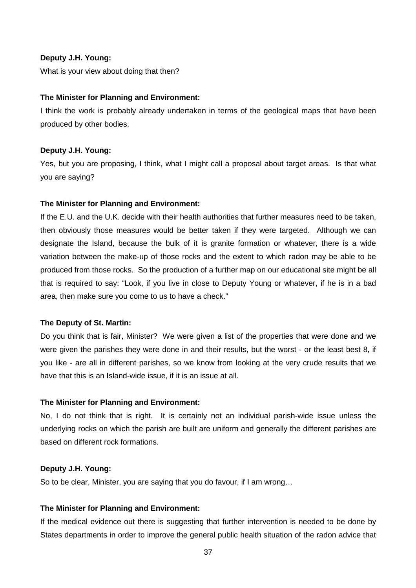#### **Deputy J.H. Young:**

What is your view about doing that then?

#### **The Minister for Planning and Environment:**

I think the work is probably already undertaken in terms of the geological maps that have been produced by other bodies.

#### **Deputy J.H. Young:**

Yes, but you are proposing, I think, what I might call a proposal about target areas. Is that what you are saying?

#### **The Minister for Planning and Environment:**

If the E.U. and the U.K. decide with their health authorities that further measures need to be taken, then obviously those measures would be better taken if they were targeted. Although we can designate the Island, because the bulk of it is granite formation or whatever, there is a wide variation between the make-up of those rocks and the extent to which radon may be able to be produced from those rocks. So the production of a further map on our educational site might be all that is required to say: "Look, if you live in close to Deputy Young or whatever, if he is in a bad area, then make sure you come to us to have a check."

#### **The Deputy of St. Martin:**

Do you think that is fair, Minister? We were given a list of the properties that were done and we were given the parishes they were done in and their results, but the worst - or the least best 8, if you like - are all in different parishes, so we know from looking at the very crude results that we have that this is an Island-wide issue, if it is an issue at all.

#### **The Minister for Planning and Environment:**

No, I do not think that is right. It is certainly not an individual parish-wide issue unless the underlying rocks on which the parish are built are uniform and generally the different parishes are based on different rock formations.

#### **Deputy J.H. Young:**

So to be clear, Minister, you are saying that you do favour, if I am wrong…

#### **The Minister for Planning and Environment:**

If the medical evidence out there is suggesting that further intervention is needed to be done by States departments in order to improve the general public health situation of the radon advice that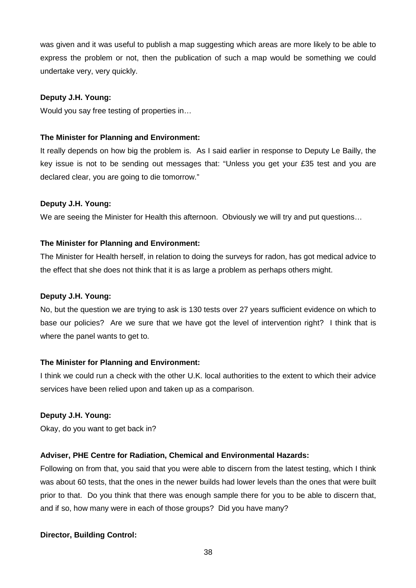was given and it was useful to publish a map suggesting which areas are more likely to be able to express the problem or not, then the publication of such a map would be something we could undertake very, very quickly.

## **Deputy J.H. Young:**

Would you say free testing of properties in…

#### **The Minister for Planning and Environment:**

It really depends on how big the problem is. As I said earlier in response to Deputy Le Bailly, the key issue is not to be sending out messages that: "Unless you get your £35 test and you are declared clear, you are going to die tomorrow."

#### **Deputy J.H. Young:**

We are seeing the Minister for Health this afternoon. Obviously we will try and put questions...

#### **The Minister for Planning and Environment:**

The Minister for Health herself, in relation to doing the surveys for radon, has got medical advice to the effect that she does not think that it is as large a problem as perhaps others might.

#### **Deputy J.H. Young:**

No, but the question we are trying to ask is 130 tests over 27 years sufficient evidence on which to base our policies? Are we sure that we have got the level of intervention right? I think that is where the panel wants to get to.

## **The Minister for Planning and Environment:**

I think we could run a check with the other U.K. local authorities to the extent to which their advice services have been relied upon and taken up as a comparison.

#### **Deputy J.H. Young:**

Okay, do you want to get back in?

## **Adviser, PHE Centre for Radiation, Chemical and Environmental Hazards:**

Following on from that, you said that you were able to discern from the latest testing, which I think was about 60 tests, that the ones in the newer builds had lower levels than the ones that were built prior to that. Do you think that there was enough sample there for you to be able to discern that, and if so, how many were in each of those groups? Did you have many?

## **Director, Building Control:**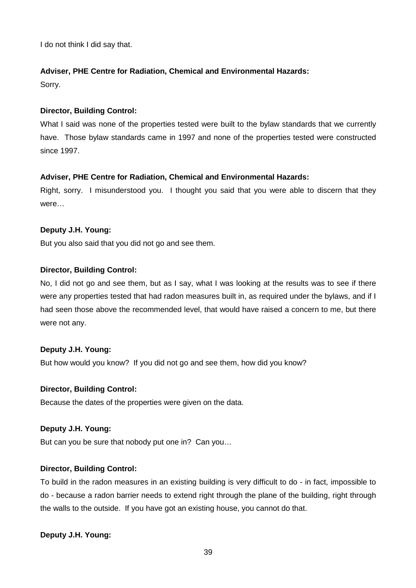I do not think I did say that.

# **Adviser, PHE Centre for Radiation, Chemical and Environmental Hazards:**

Sorry.

## **Director, Building Control:**

What I said was none of the properties tested were built to the bylaw standards that we currently have. Those bylaw standards came in 1997 and none of the properties tested were constructed since 1997.

# **Adviser, PHE Centre for Radiation, Chemical and Environmental Hazards:**

Right, sorry. I misunderstood you. I thought you said that you were able to discern that they were…

## **Deputy J.H. Young:**

But you also said that you did not go and see them.

## **Director, Building Control:**

No, I did not go and see them, but as I say, what I was looking at the results was to see if there were any properties tested that had radon measures built in, as required under the bylaws, and if I had seen those above the recommended level, that would have raised a concern to me, but there were not any.

## **Deputy J.H. Young:**

But how would you know? If you did not go and see them, how did you know?

## **Director, Building Control:**

Because the dates of the properties were given on the data.

## **Deputy J.H. Young:**

But can you be sure that nobody put one in? Can you…

# **Director, Building Control:**

To build in the radon measures in an existing building is very difficult to do - in fact, impossible to do - because a radon barrier needs to extend right through the plane of the building, right through the walls to the outside. If you have got an existing house, you cannot do that.

# **Deputy J.H. Young:**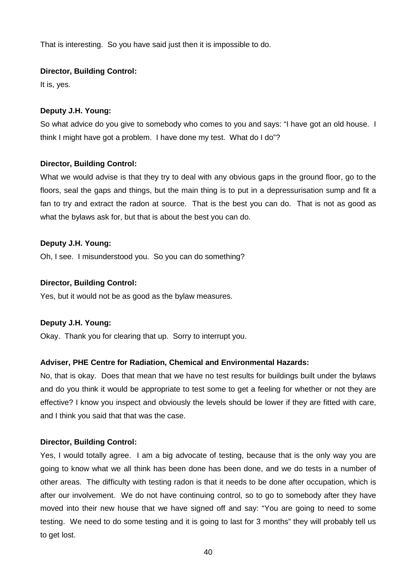That is interesting. So you have said just then it is impossible to do.

## **Director, Building Control:**

It is, yes.

## **Deputy J.H. Young:**

So what advice do you give to somebody who comes to you and says: "I have got an old house. I think I might have got a problem. I have done my test. What do I do"?

## **Director, Building Control:**

What we would advise is that they try to deal with any obvious gaps in the ground floor, go to the floors, seal the gaps and things, but the main thing is to put in a depressurisation sump and fit a fan to try and extract the radon at source. That is the best you can do. That is not as good as what the bylaws ask for, but that is about the best you can do.

## **Deputy J.H. Young:**

Oh, I see. I misunderstood you. So you can do something?

## **Director, Building Control:**

Yes, but it would not be as good as the bylaw measures.

## **Deputy J.H. Young:**

Okay. Thank you for clearing that up. Sorry to interrupt you.

# **Adviser, PHE Centre for Radiation, Chemical and Environmental Hazards:**

No, that is okay. Does that mean that we have no test results for buildings built under the bylaws and do you think it would be appropriate to test some to get a feeling for whether or not they are effective? I know you inspect and obviously the levels should be lower if they are fitted with care, and I think you said that that was the case.

## **Director, Building Control:**

Yes, I would totally agree. I am a big advocate of testing, because that is the only way you are going to know what we all think has been done has been done, and we do tests in a number of other areas. The difficulty with testing radon is that it needs to be done after occupation, which is after our involvement. We do not have continuing control, so to go to somebody after they have moved into their new house that we have signed off and say: "You are going to need to some testing. We need to do some testing and it is going to last for 3 months" they will probably tell us to get lost.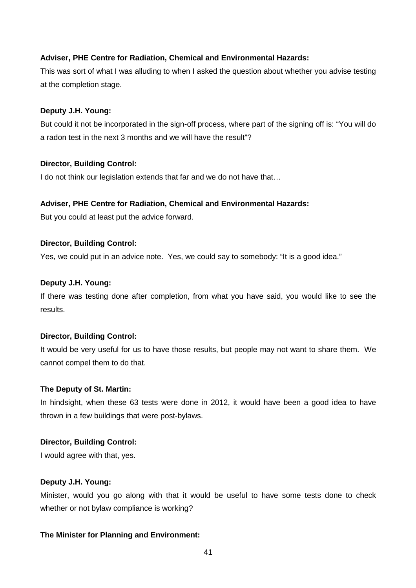## **Adviser, PHE Centre for Radiation, Chemical and Environmental Hazards:**

This was sort of what I was alluding to when I asked the question about whether you advise testing at the completion stage.

## **Deputy J.H. Young:**

But could it not be incorporated in the sign-off process, where part of the signing off is: "You will do a radon test in the next 3 months and we will have the result"?

## **Director, Building Control:**

I do not think our legislation extends that far and we do not have that...

## **Adviser, PHE Centre for Radiation, Chemical and Environmental Hazards:**

But you could at least put the advice forward.

## **Director, Building Control:**

Yes, we could put in an advice note. Yes, we could say to somebody: "It is a good idea."

## **Deputy J.H. Young:**

If there was testing done after completion, from what you have said, you would like to see the results.

## **Director, Building Control:**

It would be very useful for us to have those results, but people may not want to share them. We cannot compel them to do that.

## **The Deputy of St. Martin:**

In hindsight, when these 63 tests were done in 2012, it would have been a good idea to have thrown in a few buildings that were post-bylaws.

## **Director, Building Control:**

I would agree with that, yes.

## **Deputy J.H. Young:**

Minister, would you go along with that it would be useful to have some tests done to check whether or not bylaw compliance is working?

## **The Minister for Planning and Environment:**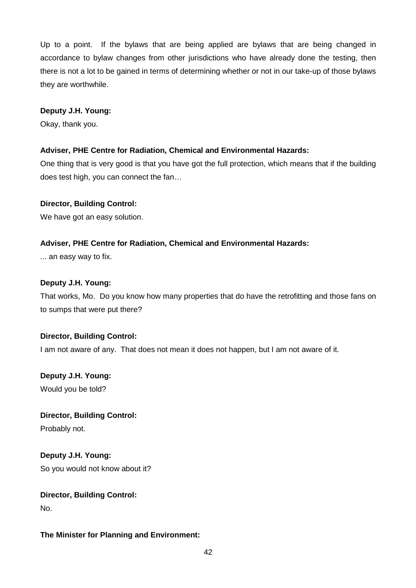Up to a point. If the bylaws that are being applied are bylaws that are being changed in accordance to bylaw changes from other jurisdictions who have already done the testing, then there is not a lot to be gained in terms of determining whether or not in our take-up of those bylaws they are worthwhile.

## **Deputy J.H. Young:**

Okay, thank you.

# **Adviser, PHE Centre for Radiation, Chemical and Environmental Hazards:**

One thing that is very good is that you have got the full protection, which means that if the building does test high, you can connect the fan…

# **Director, Building Control:**

We have got an easy solution.

# **Adviser, PHE Centre for Radiation, Chemical and Environmental Hazards:**

... an easy way to fix.

# **Deputy J.H. Young:**

That works, Mo. Do you know how many properties that do have the retrofitting and those fans on to sumps that were put there?

# **Director, Building Control:**

I am not aware of any. That does not mean it does not happen, but I am not aware of it.

# **Deputy J.H. Young:** Would you be told?

**Director, Building Control:**

Probably not.

**Deputy J.H. Young:** So you would not know about it?

# **Director, Building Control:** No.

# **The Minister for Planning and Environment:**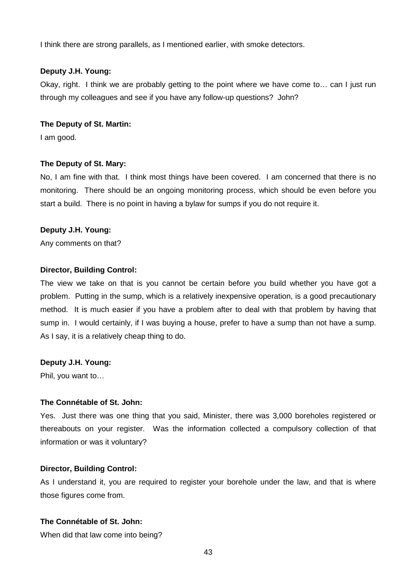I think there are strong parallels, as I mentioned earlier, with smoke detectors.

#### **Deputy J.H. Young:**

Okay, right. I think we are probably getting to the point where we have come to… can I just run through my colleagues and see if you have any follow-up questions? John?

#### **The Deputy of St. Martin:**

I am good.

#### **The Deputy of St. Mary:**

No, I am fine with that. I think most things have been covered. I am concerned that there is no monitoring. There should be an ongoing monitoring process, which should be even before you start a build. There is no point in having a bylaw for sumps if you do not require it.

#### **Deputy J.H. Young:**

Any comments on that?

#### **Director, Building Control:**

The view we take on that is you cannot be certain before you build whether you have got a problem. Putting in the sump, which is a relatively inexpensive operation, is a good precautionary method. It is much easier if you have a problem after to deal with that problem by having that sump in. I would certainly, if I was buying a house, prefer to have a sump than not have a sump. As I say, it is a relatively cheap thing to do.

## **Deputy J.H. Young:**

Phil, you want to…

## **The Connétable of St. John:**

Yes. Just there was one thing that you said, Minister, there was 3,000 boreholes registered or thereabouts on your register. Was the information collected a compulsory collection of that information or was it voluntary?

## **Director, Building Control:**

As I understand it, you are required to register your borehole under the law, and that is where those figures come from.

## **The Connétable of St. John:**

When did that law come into being?